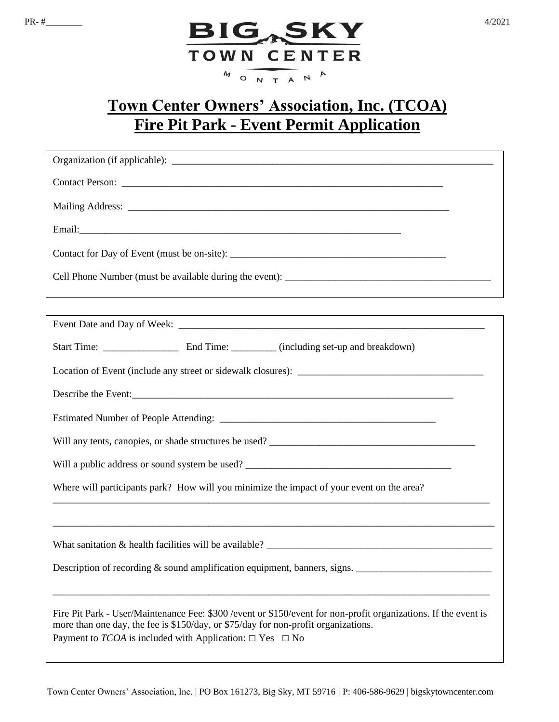

## **Town Center Owners' Association, Inc. (TCOA) Fire Pit Park - Event Permit Application**

| ,我们也不会有什么。""我们的人,我们也不会有什么?""我们的人,我们也不会有什么?""我们的人,我们也不会有什么?""我们的人,我们也不会有什么?""我们的人                                                                                                                                                                                                     |  |  |  |  |
|--------------------------------------------------------------------------------------------------------------------------------------------------------------------------------------------------------------------------------------------------------------------------------------|--|--|--|--|
|                                                                                                                                                                                                                                                                                      |  |  |  |  |
|                                                                                                                                                                                                                                                                                      |  |  |  |  |
|                                                                                                                                                                                                                                                                                      |  |  |  |  |
| Describe the Event:                                                                                                                                                                                                                                                                  |  |  |  |  |
|                                                                                                                                                                                                                                                                                      |  |  |  |  |
|                                                                                                                                                                                                                                                                                      |  |  |  |  |
| Will a public address or sound system be used? __________________________________                                                                                                                                                                                                    |  |  |  |  |
| Where will participants park? How will you minimize the impact of your event on the area?                                                                                                                                                                                            |  |  |  |  |
|                                                                                                                                                                                                                                                                                      |  |  |  |  |
|                                                                                                                                                                                                                                                                                      |  |  |  |  |
| Description of recording & sound amplification equipment, banners, signs.                                                                                                                                                                                                            |  |  |  |  |
| Fire Pit Park - User/Maintenance Fee: \$300 / event or \$150/ event for non-profit organizations. If the event is<br>more than one day, the fee is \$150/day, or \$75/day for non-profit organizations.<br>Payment to <i>TCOA</i> is included with Application: $\Box$ Yes $\Box$ No |  |  |  |  |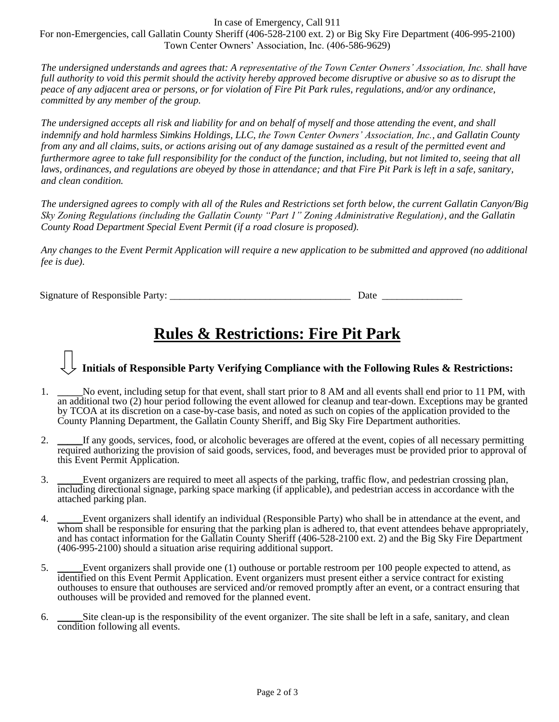In case of Emergency, Call 911

For non-Emergencies, call Gallatin County Sheriff (406-528-2100 ext. 2) or Big Sky Fire Department (406-995-2100) Town Center Owners' Association, Inc. (406-586-9629)

*The undersigned understands and agrees that: A representative of the Town Center Owners' Association, Inc. shall have full authority to void this permit should the activity hereby approved become disruptive or abusive so as to disrupt the peace of any adjacent area or persons, or for violation of Fire Pit Park rules, regulations, and/or any ordinance, committed by any member of the group.*

*The undersigned accepts all risk and liability for and on behalf of myself and those attending the event, and shall indemnify and hold harmless Simkins Holdings, LLC, the Town Center Owners' Association, Inc., and Gallatin County from any and all claims, suits, or actions arising out of any damage sustained as a result of the permitted event and furthermore agree to take full responsibility for the conduct of the function, including, but not limited to, seeing that all laws, ordinances, and regulations are obeyed by those in attendance; and that Fire Pit Park is left in a safe, sanitary, and clean condition.*

*The undersigned agrees to comply with all of the Rules and Restrictions set forth below, the current Gallatin Canyon/Big Sky Zoning Regulations (including the Gallatin County "Part 1" Zoning Administrative Regulation), and the Gallatin County Road Department Special Event Permit (if a road closure is proposed).*

*Any changes to the Event Permit Application will require a new application to be submitted and approved (no additional fee is due).* 

Signature of Responsible Party: \_\_\_\_\_\_\_\_\_\_\_\_\_\_\_\_\_\_\_\_\_\_\_\_\_\_\_\_\_\_\_\_\_\_\_\_ Date \_\_\_\_\_\_\_\_\_\_\_\_\_\_\_\_

## **Rules & Restrictions: Fire Pit Park**

## **Initials of Responsible Party Verifying Compliance with the Following Rules & Restrictions:**

- 1. \_\_\_\_\_No event, including setup for that event, shall start prior to 8 AM and all events shall end prior to 11 PM, with an additional two (2) hour period following the event allowed for cleanup and tear-down. Exceptions may be granted by TCOA at its discretion on a case-by-case basis, and noted as such on copies of the application provided to the County Planning Department, the Gallatin County Sheriff, and Big Sky Fire Department authorities.
- 2. \_\_\_\_\_If any goods, services, food, or alcoholic beverages are offered at the event, copies of all necessary permitting required authorizing the provision of said goods, services, food, and beverages must be provided prior to approval of this Event Permit Application*.*
- 3. \_\_\_\_\_Event organizers are required to meet all aspects of the parking, traffic flow, and pedestrian crossing plan, including directional signage, parking space marking (if applicable), and pedestrian access in accordance with the attached parking plan.
- 4. \_\_\_\_\_Event organizers shall identify an individual (Responsible Party) who shall be in attendance at the event, and whom shall be responsible for ensuring that the parking plan is adhered to, that event attendees behave appropriately, and has contact information for the Gallatin County Sheriff (406-528-2100 ext. 2) and the Big Sky Fire Department (406-995-2100) should a situation arise requiring additional support.
- 5. Event organizers shall provide one (1) outhouse or portable restroom per 100 people expected to attend, as identified on this Event Permit Application. Event organizers must present either a service contract for existing outhouses to ensure that outhouses are serviced and/or removed promptly after an event, or a contract ensuring that outhouses will be provided and removed for the planned event.
- 6. \_\_\_\_\_Site clean-up is the responsibility of the event organizer. The site shall be left in a safe, sanitary, and clean condition following all events.